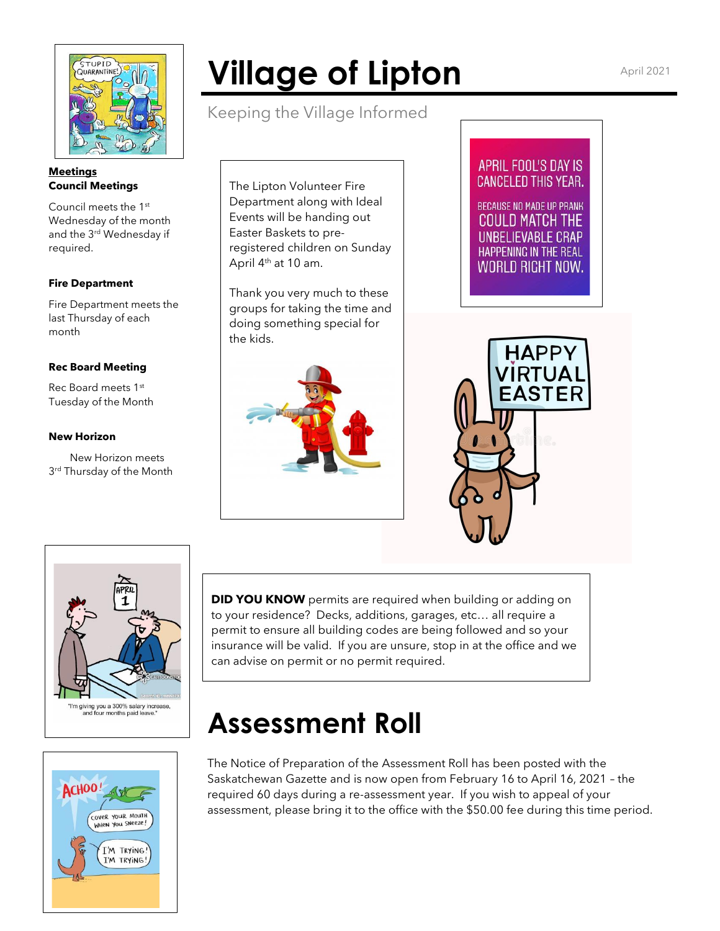

#### **Meetings Council Meetings**

Council meets the 1st Wednesday of the month and the 3<sup>rd</sup> Wednesday if required.

## **Fire Department**

Fire Department meets the last Thursday of each month

## **Rec Board Meeting**

Rec Board meets 1st Tuesday of the Month

## **New Horizon**

 New Horizon meets 3 rd Thursday of the Month

# **Village of Lipton** April 2021

Keeping the Village Informed

The Lipton Volunteer Fire Department along with Ideal Events will be handing out Easter Baskets to preregistered children on Sunday April 4<sup>th</sup> at 10 am.

Thank you very much to these groups for taking the time and doing something special for the kids.



# APRIL FOOL'S DAY IS **CANCELED THIS YEAR. BECAUSE NO MADE UP PRANK**

**COULD MATCH THE** LINRELIEVARI E CRAP HAPPENING IN THE REAL **WORLD RIGHT NOW.** 





**DID YOU KNOW** permits are required when building or adding on to your residence? Decks, additions, garages, etc… all require a permit to ensure all building codes are being followed and so your insurance will be valid. If you are unsure, stop in at the office and we can advise on permit or no permit required.

# **Assessment Roll**

The Notice of Preparation of the Assessment Roll has been posted with the Saskatchewan Gazette and is now open from February 16 to April 16, 2021 – the required 60 days during a re-assessment year. If you wish to appeal of your assessment, please bring it to the office with the \$50.00 fee during this time period.

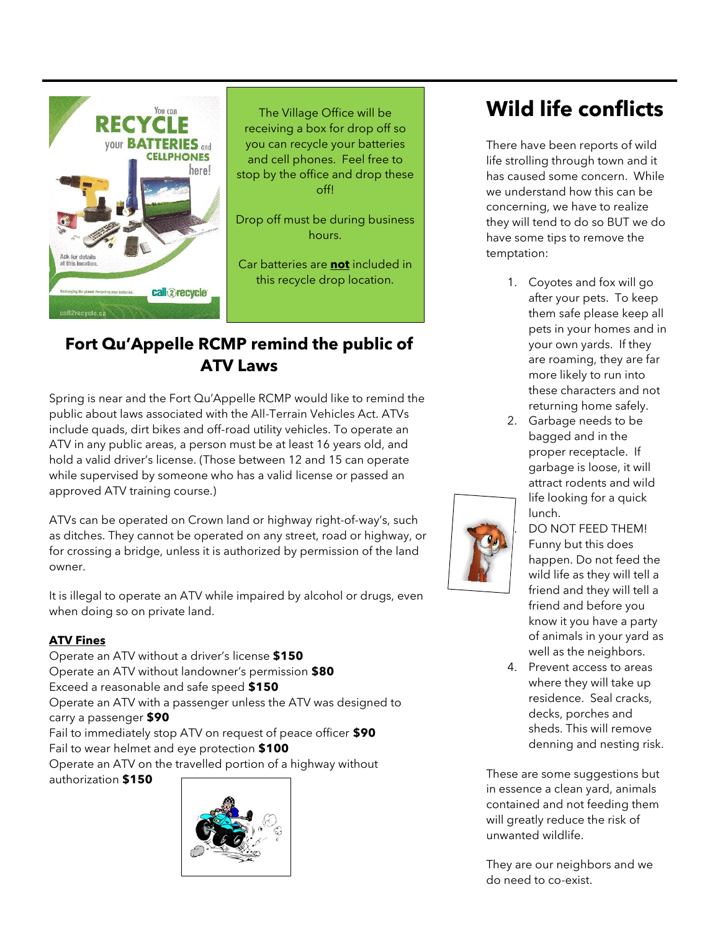

The Village Office will be receiving a box for drop off so you can recycle your batteries and cell phones. Feel free to stop by the office and drop these off!

Drop off must be during business hours.

Car batteries are **not** included in this recycle drop location.

# **Fort Qu'Appelle RCMP remind the public of ATV Laws**

Spring is near and the Fort Qu'Appelle RCMP would like to remind the public about laws associated with the All-Terrain Vehicles Act. ATVs include quads, dirt bikes and off-road utility vehicles. To operate an ATV in any public areas, a person must be at least 16 years old, and hold a valid driver's license. (Those between 12 and 15 can operate while supervised by someone who has a valid license or passed an approved ATV training course.)

ATVs can be operated on Crown land or highway right-of-way's, such as ditches. They cannot be operated on any street, road or highway, or for crossing a bridge, unless it is authorized by permission of the land owner.

It is illegal to operate an ATV while impaired by alcohol or drugs, even when doing so on private land.

# **ATV Fines**

Operate an ATV without a driver's license **\$150** Operate an ATV without landowner's permission **\$80** Exceed a reasonable and safe speed **\$150** Operate an ATV with a passenger unless the ATV was designed to carry a passenger **\$90** Fail to immediately stop ATV on request of peace officer **\$90** Fail to wear helmet and eye protection **\$100** Operate an ATV on the travelled portion of a highway without authorization **\$150**



# **Wild life conflicts**

There have been reports of wild life strolling through town and it has caused some concern. While we understand how this can be concerning, we have to realize they will tend to do so BUT we do have some tips to remove the temptation:

- 1. Coyotes and fox will go after your pets. To keep them safe please keep all pets in your homes and in your own yards. If they are roaming, they are far more likely to run into these characters and not returning home safely.
- 2. Garbage needs to be bagged and in the proper receptacle. If garbage is loose, it will attract rodents and wild life looking for a quick lunch.



3. DO NOT FEED THEM! Funny but this does happen. Do not feed the wild life as they will tell a friend and they will tell a friend and before you know it you have a party of animals in your yard as well as the neighbors.

4. Prevent access to areas where they will take up residence. Seal cracks, decks, porches and sheds. This will remove denning and nesting risk.

These are some suggestions but in essence a clean yard, animals contained and not feeding them will greatly reduce the risk of unwanted wildlife.

They are our neighbors and we do need to co-exist.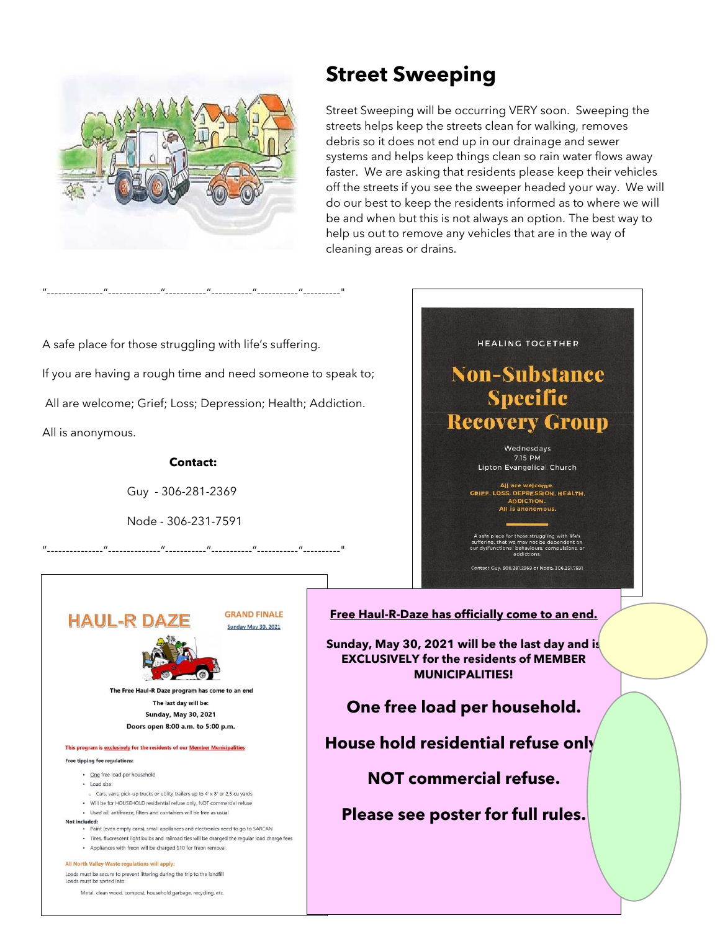

# **Street Sweeping**

Street Sweeping will be occurring VERY soon. Sweeping the streets helps keep the streets clean for walking, removes debris so it does not end up in our drainage and sewer systems and helps keep things clean so rain water flows away faster. We are asking that residents please keep their vehicles off the streets if you see the sweeper headed your way. We will do our best to keep the residents informed as to where we will be and when but this is not always an option. The best way to help us out to remove any vehicles that are in the way of cleaning areas or drains.

A safe place for those struggling with life's suffering. If you are having a rough time and need someone to speak to; All are welcome; Grief; Loss; Depression; Health; Addiction. All is anonymous.

"---------------"--------------"-----------"-----------"-----------"----------"

#### **Contact:**

Guy - 306-281-2369

Node - 306-231-7591

**HAUL-R DA** 

**GRAND FINALE Sunday May 30, 2021** 

"---------------"--------------"-----------"-----------"-----------"----------"

The Free Haul-R Daze program has come to an end

The last day will be: **Sunday, May 30, 2021** Doors open 8:00 a.m. to 5:00 p.m.

#### This program is exclusively for the residents of our Member Municipalities

Free tipping fee regulations:

- . One free load per household
- · Load size:
- . Cars, vans, pick-up trucks or utility trailers up to 4' x 8' or 2.5 cu vards
- . Will be for HOUSEHOLD residential refuse only, NOT commercial refuse · Used oil, antifreeze, filters and containers will be free as usual
- Not included:
	- Paint (even empty cans), small appliances and electronics need to go to SARCAN
	- . Tires, fluorescent light bulbs and railroad ties will be charged the regular load charge fees
	- . Appliances with freon will be charged \$10 for freon removal.

#### All North Valley Waste regulations will apply:

Loads must be secure to prevent littering during the trip to the landfill ads must be sorted in

Metal, clean wood, compost, household garbage, recycling, etc.



.<br>A safe place for those struggling with life's<br>uffering, that we may not be dependent or<br>ur dysfunctional behaviours, compulsions, c

Contact Cuy: 306.281.2369 or Node: 306.231.7591

**Free Haul-R-Daze has officially come to an end.**

**Sunday, May 30, 2021 will be the last day and is EXCLUSIVELY for the residents of MEMBER MUNICIPALITIES!**

**One free load per household.**

**House hold residential refuse only.**

**NOT commercial refuse.**

**Please see poster for full rules.**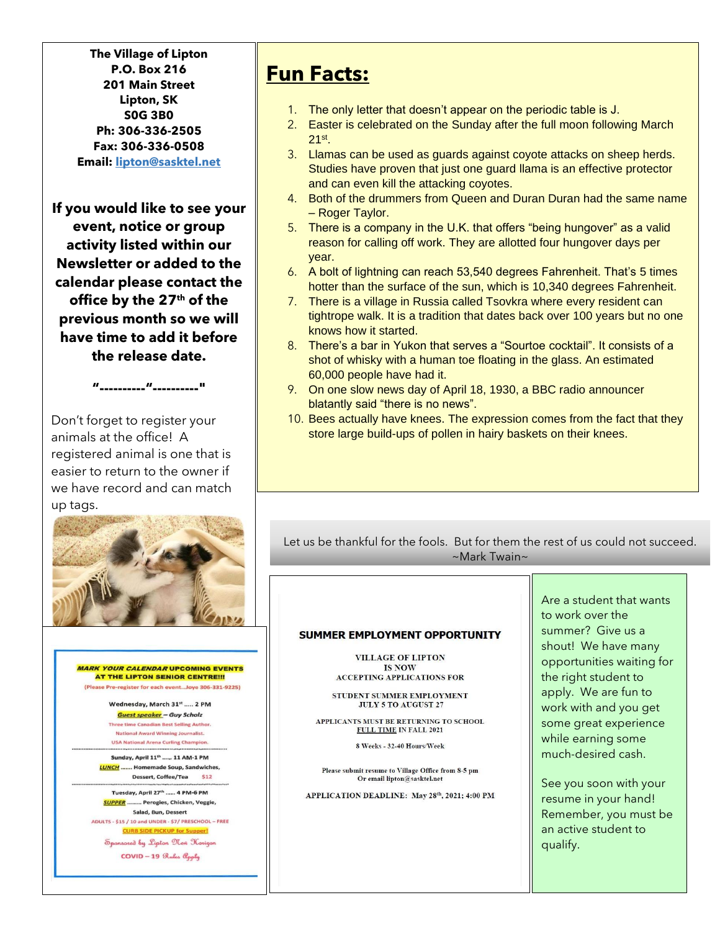**The Village of Lipton P.O. Box 216 201 Main Street Lipton, SK S0G 3B0 Ph: 306-336-2505 Fax: 306-336-0508 Email: [lipton@sasktel.net](mailto:lipton@sasktel.net)**

**If you would like to see your event, notice or group activity listed within our Newsletter or added to the calendar please contact the office by the 27 th of the previous month so we will have time to add it before the release date.**

**"----------"----------"**

Don't forget to register your animals at the office! A registered animal is one that is easier to return to the owner if we have record and can match up tags.



**MARK YOUR CALENDAR UPCOMING EVENTS AT THE LIPTON SENIOR CENTRE!!!** (Please Pre-register for each event...Joye 306-331-9225)

> Wednesday, March 31st ..... 2 PM **Guest speaker - Guy Scholz** Three time Canadian Best Selling Author. **National Award Winning Journalist. USA National Arena Curling Champion.**

Sunday, April 11<sup>th</sup> ...... 11 AM-1 PM **LUNCH** ....... Homemade Soup, Sandwiches, Dessert, Coffee/Tea \$12

Tuesday, April 27th ...... 4 PM-6 PM **SUPPER** ......... Perogies, Chicken, Veggie, Salad, Bun, Dessert ADULTS - \$15 / 10 and UNDER - \$7/ PRESCHOOL - FREE **CURB SIDE PICKUP for Supp** Spansared by Lipton New Karizan

 $COVID-19$  Rules  $Q_{pp}l_{\phi}$ 

# **Fun Facts:**

- 1. The only letter that doesn't appear on the periodic table is J.
- 2. Easter is celebrated on the Sunday after the full moon following March 21st .
- 3. Llamas can be used as guards against coyote attacks on sheep herds. Studies have proven that just one guard llama is an effective protector and can even kill the attacking coyotes.
- 4. Both of the drummers from Queen and Duran Duran had the same name – Roger Taylor.
- 5. There is a company in the U.K. that offers "being hungover" as a valid reason for calling off work. They are allotted four hungover days per year.
- 6. A bolt of lightning can reach 53,540 degrees Fahrenheit. That's 5 times hotter than the surface of the sun, which is 10,340 degrees Fahrenheit.
- 7. There is a village in Russia called Tsovkra where every resident can tightrope walk. It is a tradition that dates back over 100 years but no one knows how it started.
- 8. There's a bar in Yukon that serves a "Sourtoe cocktail". It consists of a shot of whisky with a human toe floating in the glass. An estimated 60,000 people have had it.
- 9. On one slow news day of April 18, 1930, a BBC radio announcer blatantly said "there is no news".
- 10. Bees actually have knees. The expression comes from the fact that they store large build-ups of pollen in hairy baskets on their knees.

Let us be thankful for the fools. But for them the rest of us could not succeed. ~Mark Twain~

#### SUMMER EMPLOYMENT OPPORTUNITY

**VILLAGE OF LIPTON IS NOW ACCEPTING APPLICATIONS FOR** 

STUDENT SUMMER EMPLOYMENT **JULY 5 TO AUGUST 27** 

APPLICANTS MUST BE RETURNING TO SCHOOL FULL TIME IN FALL 2021

8 Weeks - 32-40 Hours/Week

Please submit resume to Village Office from 8-5 pm Or email lipton@sasktel.net

APPLICATION DEADLINE: May 28th, 2021; 4:00 PM

Are a student that wants to work over the summer? Give us a shout! We have many opportunities waiting for the right student to apply. We are fun to work with and you get some great experience while earning some much-desired cash.

See you soon with your resume in your hand! Remember, you must be an active student to qualify.